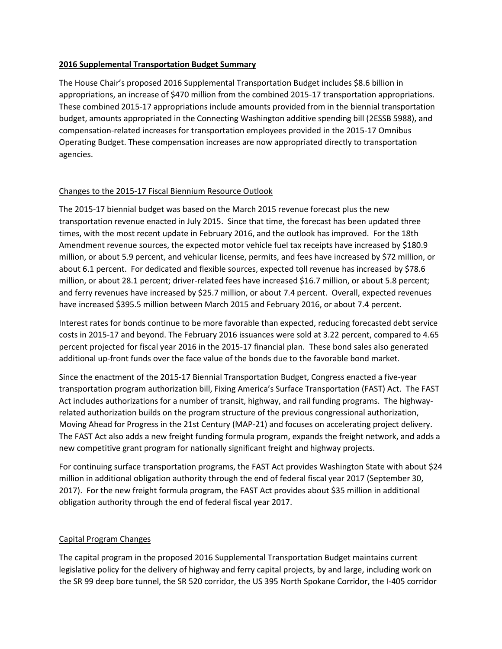## **2016 Supplemental Transportation Budget Summary**

The House Chair's proposed 2016 Supplemental Transportation Budget includes \$8.6 billion in appropriations, an increase of \$470 million from the combined 2015-17 transportation appropriations. These combined 2015-17 appropriations include amounts provided from in the biennial transportation budget, amounts appropriated in the Connecting Washington additive spending bill (2ESSB 5988), and compensation-related increases for transportation employees provided in the 2015-17 Omnibus Operating Budget. These compensation increases are now appropriated directly to transportation agencies.

## Changes to the 2015-17 Fiscal Biennium Resource Outlook

The 2015-17 biennial budget was based on the March 2015 revenue forecast plus the new transportation revenue enacted in July 2015. Since that time, the forecast has been updated three times, with the most recent update in February 2016, and the outlook has improved. For the 18th Amendment revenue sources, the expected motor vehicle fuel tax receipts have increased by \$180.9 million, or about 5.9 percent, and vehicular license, permits, and fees have increased by \$72 million, or about 6.1 percent. For dedicated and flexible sources, expected toll revenue has increased by \$78.6 million, or about 28.1 percent; driver-related fees have increased \$16.7 million, or about 5.8 percent; and ferry revenues have increased by \$25.7 million, or about 7.4 percent. Overall, expected revenues have increased \$395.5 million between March 2015 and February 2016, or about 7.4 percent.

Interest rates for bonds continue to be more favorable than expected, reducing forecasted debt service costs in 2015-17 and beyond. The February 2016 issuances were sold at 3.22 percent, compared to 4.65 percent projected for fiscal year 2016 in the 2015-17 financial plan. These bond sales also generated additional up-front funds over the face value of the bonds due to the favorable bond market.

Since the enactment of the 2015-17 Biennial Transportation Budget, Congress enacted a five-year transportation program authorization bill, Fixing America's Surface Transportation (FAST) Act. The FAST Act includes authorizations for a number of transit, highway, and rail funding programs. The highwayrelated authorization builds on the program structure of the previous congressional authorization, Moving Ahead for Progress in the 21st Century (MAP-21) and focuses on accelerating project delivery. The FAST Act also adds a new freight funding formula program, expands the freight network, and adds a new competitive grant program for nationally significant freight and highway projects.

For continuing surface transportation programs, the FAST Act provides Washington State with about \$24 million in additional obligation authority through the end of federal fiscal year 2017 (September 30, 2017). For the new freight formula program, the FAST Act provides about \$35 million in additional obligation authority through the end of federal fiscal year 2017.

## Capital Program Changes

The capital program in the proposed 2016 Supplemental Transportation Budget maintains current legislative policy for the delivery of highway and ferry capital projects, by and large, including work on the SR 99 deep bore tunnel, the SR 520 corridor, the US 395 North Spokane Corridor, the I-405 corridor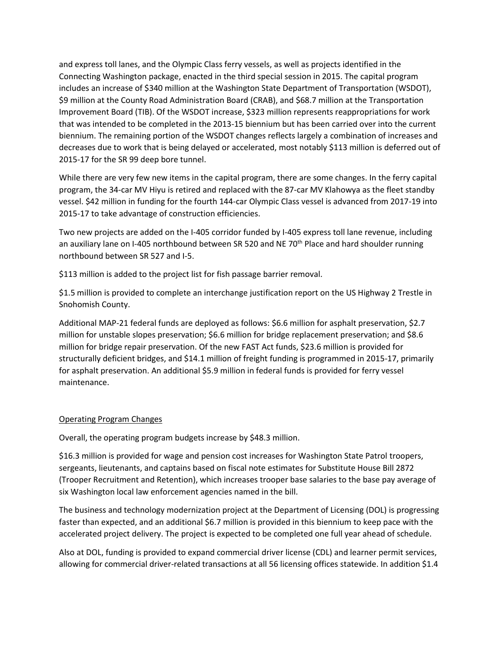and express toll lanes, and the Olympic Class ferry vessels, as well as projects identified in the Connecting Washington package, enacted in the third special session in 2015. The capital program includes an increase of \$340 million at the Washington State Department of Transportation (WSDOT), \$9 million at the County Road Administration Board (CRAB), and \$68.7 million at the Transportation Improvement Board (TIB). Of the WSDOT increase, \$323 million represents reappropriations for work that was intended to be completed in the 2013-15 biennium but has been carried over into the current biennium. The remaining portion of the WSDOT changes reflects largely a combination of increases and decreases due to work that is being delayed or accelerated, most notably \$113 million is deferred out of 2015-17 for the SR 99 deep bore tunnel.

While there are very few new items in the capital program, there are some changes. In the ferry capital program, the 34-car MV Hiyu is retired and replaced with the 87-car MV Klahowya as the fleet standby vessel. \$42 million in funding for the fourth 144-car Olympic Class vessel is advanced from 2017-19 into 2015-17 to take advantage of construction efficiencies.

Two new projects are added on the I-405 corridor funded by I-405 express toll lane revenue, including an auxiliary lane on I-405 northbound between SR 520 and NE 70<sup>th</sup> Place and hard shoulder running northbound between SR 527 and I-5.

\$113 million is added to the project list for fish passage barrier removal.

\$1.5 million is provided to complete an interchange justification report on the US Highway 2 Trestle in Snohomish County.

Additional MAP-21 federal funds are deployed as follows: \$6.6 million for asphalt preservation, \$2.7 million for unstable slopes preservation; \$6.6 million for bridge replacement preservation; and \$8.6 million for bridge repair preservation. Of the new FAST Act funds, \$23.6 million is provided for structurally deficient bridges, and \$14.1 million of freight funding is programmed in 2015-17, primarily for asphalt preservation. An additional \$5.9 million in federal funds is provided for ferry vessel maintenance.

## Operating Program Changes

Overall, the operating program budgets increase by \$48.3 million.

\$16.3 million is provided for wage and pension cost increases for Washington State Patrol troopers, sergeants, lieutenants, and captains based on fiscal note estimates for Substitute House Bill 2872 (Trooper Recruitment and Retention), which increases trooper base salaries to the base pay average of six Washington local law enforcement agencies named in the bill.

The business and technology modernization project at the Department of Licensing (DOL) is progressing faster than expected, and an additional \$6.7 million is provided in this biennium to keep pace with the accelerated project delivery. The project is expected to be completed one full year ahead of schedule.

Also at DOL, funding is provided to expand commercial driver license (CDL) and learner permit services, allowing for commercial driver-related transactions at all 56 licensing offices statewide. In addition \$1.4